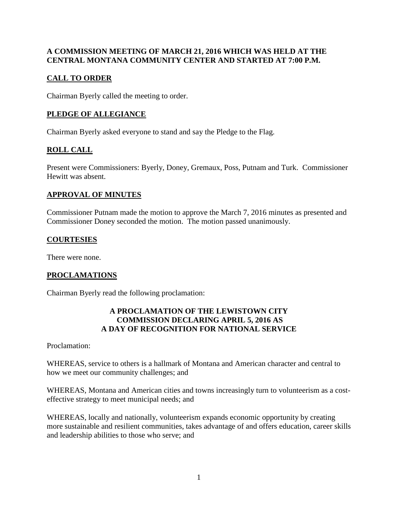### **A COMMISSION MEETING OF MARCH 21, 2016 WHICH WAS HELD AT THE CENTRAL MONTANA COMMUNITY CENTER AND STARTED AT 7:00 P.M.**

# **CALL TO ORDER**

Chairman Byerly called the meeting to order.

# **PLEDGE OF ALLEGIANCE**

Chairman Byerly asked everyone to stand and say the Pledge to the Flag.

# **ROLL CALL**

Present were Commissioners: Byerly, Doney, Gremaux, Poss, Putnam and Turk. Commissioner Hewitt was absent.

### **APPROVAL OF MINUTES**

Commissioner Putnam made the motion to approve the March 7, 2016 minutes as presented and Commissioner Doney seconded the motion. The motion passed unanimously.

### **COURTESIES**

There were none.

### **PROCLAMATIONS**

Chairman Byerly read the following proclamation:

#### **A PROCLAMATION OF THE LEWISTOWN CITY COMMISSION DECLARING APRIL 5, 2016 AS A DAY OF RECOGNITION FOR NATIONAL SERVICE**

Proclamation:

WHEREAS, service to others is a hallmark of Montana and American character and central to how we meet our community challenges; and

WHEREAS, Montana and American cities and towns increasingly turn to volunteerism as a costeffective strategy to meet municipal needs; and

WHEREAS, locally and nationally, volunteerism expands economic opportunity by creating more sustainable and resilient communities, takes advantage of and offers education, career skills and leadership abilities to those who serve; and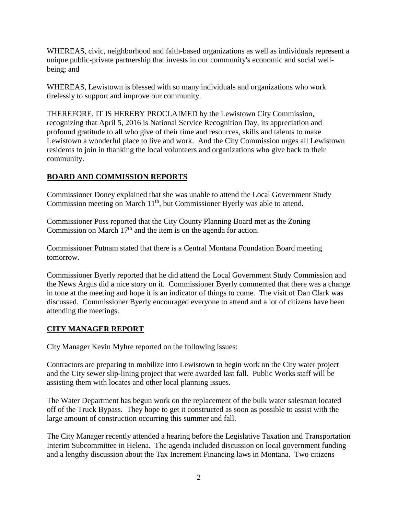WHEREAS, civic, neighborhood and faith-based organizations as well as individuals represent a unique public-private partnership that invests in our community's economic and social wellbeing; and

WHEREAS, Lewistown is blessed with so many individuals and organizations who work tirelessly to support and improve our community.

THEREFORE, IT IS HEREBY PROCLAIMED by the Lewistown City Commission, recognizing that April 5, 2016 is National Service Recognition Day, its appreciation and profound gratitude to all who give of their time and resources, skills and talents to make Lewistown a wonderful place to live and work. And the City Commission urges all Lewistown residents to join in thanking the local volunteers and organizations who give back to their community.

# **BOARD AND COMMISSION REPORTS**

Commissioner Doney explained that she was unable to attend the Local Government Study Commission meeting on March 11<sup>th</sup>, but Commissioner Byerly was able to attend.

Commissioner Poss reported that the City County Planning Board met as the Zoning Commission on March  $17<sup>th</sup>$  and the item is on the agenda for action.

Commissioner Putnam stated that there is a Central Montana Foundation Board meeting tomorrow.

Commissioner Byerly reported that he did attend the Local Government Study Commission and the News Argus did a nice story on it. Commissioner Byerly commented that there was a change in tone at the meeting and hope it is an indicator of things to come. The visit of Dan Clark was discussed. Commissioner Byerly encouraged everyone to attend and a lot of citizens have been attending the meetings.

# **CITY MANAGER REPORT**

City Manager Kevin Myhre reported on the following issues:

Contractors are preparing to mobilize into Lewistown to begin work on the City water project and the City sewer slip-lining project that were awarded last fall. Public Works staff will be assisting them with locates and other local planning issues.

The Water Department has begun work on the replacement of the bulk water salesman located off of the Truck Bypass. They hope to get it constructed as soon as possible to assist with the large amount of construction occurring this summer and fall.

The City Manager recently attended a hearing before the Legislative Taxation and Transportation Interim Subcommittee in Helena. The agenda included discussion on local government funding and a lengthy discussion about the Tax Increment Financing laws in Montana. Two citizens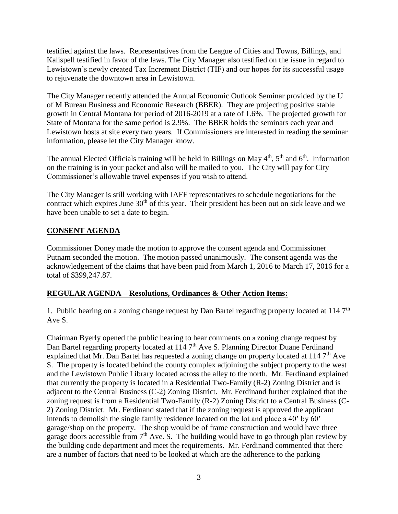testified against the laws. Representatives from the League of Cities and Towns, Billings, and Kalispell testified in favor of the laws. The City Manager also testified on the issue in regard to Lewistown's newly created Tax Increment District (TIF) and our hopes for its successful usage to rejuvenate the downtown area in Lewistown.

The City Manager recently attended the Annual Economic Outlook Seminar provided by the U of M Bureau Business and Economic Research (BBER). They are projecting positive stable growth in Central Montana for period of 2016-2019 at a rate of 1.6%. The projected growth for State of Montana for the same period is 2.9%. The BBER holds the seminars each year and Lewistown hosts at site every two years. If Commissioners are interested in reading the seminar information, please let the City Manager know.

The annual Elected Officials training will be held in Billings on May  $4<sup>th</sup>$ ,  $5<sup>th</sup>$  and  $6<sup>th</sup>$ . Information on the training is in your packet and also will be mailed to you. The City will pay for City Commissioner's allowable travel expenses if you wish to attend.

The City Manager is still working with IAFF representatives to schedule negotiations for the contract which expires June  $30<sup>th</sup>$  of this year. Their president has been out on sick leave and we have been unable to set a date to begin.

### **CONSENT AGENDA**

Commissioner Doney made the motion to approve the consent agenda and Commissioner Putnam seconded the motion. The motion passed unanimously. The consent agenda was the acknowledgement of the claims that have been paid from March 1, 2016 to March 17, 2016 for a total of \$399,247.87.

### **REGULAR AGENDA – Resolutions, Ordinances & Other Action Items:**

1. Public hearing on a zoning change request by Dan Bartel regarding property located at 114  $7<sup>th</sup>$ Ave S.

Chairman Byerly opened the public hearing to hear comments on a zoning change request by Dan Bartel regarding property located at 114 7<sup>th</sup> Ave S. Planning Director Duane Ferdinand explained that Mr. Dan Bartel has requested a zoning change on property located at  $1147<sup>th</sup>$  Ave S. The property is located behind the county complex adjoining the subject property to the west and the Lewistown Public Library located across the alley to the north. Mr. Ferdinand explained that currently the property is located in a Residential Two-Family (R-2) Zoning District and is adjacent to the Central Business (C-2) Zoning District. Mr. Ferdinand further explained that the zoning request is from a Residential Two-Family (R-2) Zoning District to a Central Business (C-2) Zoning District. Mr. Ferdinand stated that if the zoning request is approved the applicant intends to demolish the single family residence located on the lot and place a 40' by 60' garage/shop on the property. The shop would be of frame construction and would have three garage doors accessible from  $7<sup>th</sup>$  Ave. S. The building would have to go through plan review by the building code department and meet the requirements. Mr. Ferdinand commented that there are a number of factors that need to be looked at which are the adherence to the parking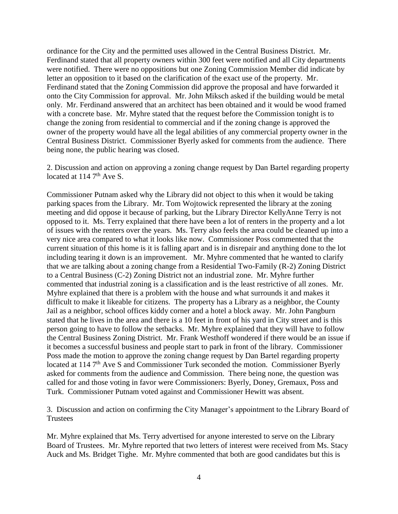ordinance for the City and the permitted uses allowed in the Central Business District. Mr. Ferdinand stated that all property owners within 300 feet were notified and all City departments were notified. There were no oppositions but one Zoning Commission Member did indicate by letter an opposition to it based on the clarification of the exact use of the property. Mr. Ferdinand stated that the Zoning Commission did approve the proposal and have forwarded it onto the City Commission for approval. Mr. John Miksch asked if the building would be metal only. Mr. Ferdinand answered that an architect has been obtained and it would be wood framed with a concrete base. Mr. Myhre stated that the request before the Commission tonight is to change the zoning from residential to commercial and if the zoning change is approved the owner of the property would have all the legal abilities of any commercial property owner in the Central Business District. Commissioner Byerly asked for comments from the audience. There being none, the public hearing was closed.

2. Discussion and action on approving a zoning change request by Dan Bartel regarding property located at  $114.7<sup>th</sup>$  Ave S.

Commissioner Putnam asked why the Library did not object to this when it would be taking parking spaces from the Library. Mr. Tom Wojtowick represented the library at the zoning meeting and did oppose it because of parking, but the Library Director KellyAnne Terry is not opposed to it. Ms. Terry explained that there have been a lot of renters in the property and a lot of issues with the renters over the years. Ms. Terry also feels the area could be cleaned up into a very nice area compared to what it looks like now. Commissioner Poss commented that the current situation of this home is it is falling apart and is in disrepair and anything done to the lot including tearing it down is an improvement. Mr. Myhre commented that he wanted to clarify that we are talking about a zoning change from a Residential Two-Family (R-2) Zoning District to a Central Business (C-2) Zoning District not an industrial zone. Mr. Myhre further commented that industrial zoning is a classification and is the least restrictive of all zones. Mr. Myhre explained that there is a problem with the house and what surrounds it and makes it difficult to make it likeable for citizens. The property has a Library as a neighbor, the County Jail as a neighbor, school offices kiddy corner and a hotel a block away. Mr. John Pangburn stated that he lives in the area and there is a 10 feet in front of his yard in City street and is this person going to have to follow the setbacks. Mr. Myhre explained that they will have to follow the Central Business Zoning District. Mr. Frank Westhoff wondered if there would be an issue if it becomes a successful business and people start to park in front of the library. Commissioner Poss made the motion to approve the zoning change request by Dan Bartel regarding property located at 114 7<sup>th</sup> Ave S and Commissioner Turk seconded the motion. Commissioner Byerly asked for comments from the audience and Commission. There being none, the question was called for and those voting in favor were Commissioners: Byerly, Doney, Gremaux, Poss and Turk. Commissioner Putnam voted against and Commissioner Hewitt was absent.

3. Discussion and action on confirming the City Manager's appointment to the Library Board of **Trustees** 

Mr. Myhre explained that Ms. Terry advertised for anyone interested to serve on the Library Board of Trustees. Mr. Myhre reported that two letters of interest were received from Ms. Stacy Auck and Ms. Bridget Tighe. Mr. Myhre commented that both are good candidates but this is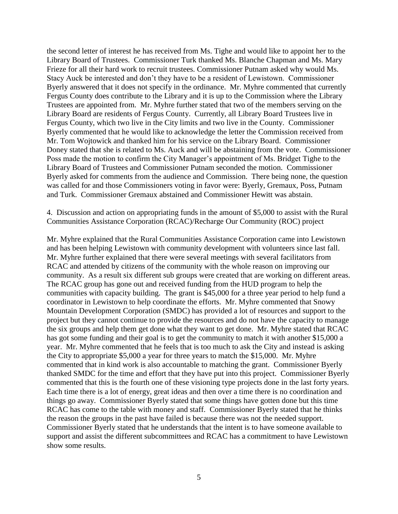the second letter of interest he has received from Ms. Tighe and would like to appoint her to the Library Board of Trustees. Commissioner Turk thanked Ms. Blanche Chapman and Ms. Mary Frieze for all their hard work to recruit trustees. Commissioner Putnam asked why would Ms. Stacy Auck be interested and don't they have to be a resident of Lewistown. Commissioner Byerly answered that it does not specify in the ordinance. Mr. Myhre commented that currently Fergus County does contribute to the Library and it is up to the Commission where the Library Trustees are appointed from. Mr. Myhre further stated that two of the members serving on the Library Board are residents of Fergus County. Currently, all Library Board Trustees live in Fergus County, which two live in the City limits and two live in the County. Commissioner Byerly commented that he would like to acknowledge the letter the Commission received from Mr. Tom Wojtowick and thanked him for his service on the Library Board. Commissioner Doney stated that she is related to Ms. Auck and will be abstaining from the vote. Commissioner Poss made the motion to confirm the City Manager's appointment of Ms. Bridget Tighe to the Library Board of Trustees and Commissioner Putnam seconded the motion. Commissioner Byerly asked for comments from the audience and Commission. There being none, the question was called for and those Commissioners voting in favor were: Byerly, Gremaux, Poss, Putnam and Turk. Commissioner Gremaux abstained and Commissioner Hewitt was abstain.

4. Discussion and action on appropriating funds in the amount of \$5,000 to assist with the Rural Communities Assistance Corporation (RCAC)/Recharge Our Community (ROC) project

Mr. Myhre explained that the Rural Communities Assistance Corporation came into Lewistown and has been helping Lewistown with community development with volunteers since last fall. Mr. Myhre further explained that there were several meetings with several facilitators from RCAC and attended by citizens of the community with the whole reason on improving our community. As a result six different sub groups were created that are working on different areas. The RCAC group has gone out and received funding from the HUD program to help the communities with capacity building. The grant is \$45,000 for a three year period to help fund a coordinator in Lewistown to help coordinate the efforts. Mr. Myhre commented that Snowy Mountain Development Corporation (SMDC) has provided a lot of resources and support to the project but they cannot continue to provide the resources and do not have the capacity to manage the six groups and help them get done what they want to get done. Mr. Myhre stated that RCAC has got some funding and their goal is to get the community to match it with another \$15,000 a year. Mr. Myhre commented that he feels that is too much to ask the City and instead is asking the City to appropriate \$5,000 a year for three years to match the \$15,000. Mr. Myhre commented that in kind work is also accountable to matching the grant. Commissioner Byerly thanked SMDC for the time and effort that they have put into this project. Commissioner Byerly commented that this is the fourth one of these visioning type projects done in the last forty years. Each time there is a lot of energy, great ideas and then over a time there is no coordination and things go away. Commissioner Byerly stated that some things have gotten done but this time RCAC has come to the table with money and staff. Commissioner Byerly stated that he thinks the reason the groups in the past have failed is because there was not the needed support. Commissioner Byerly stated that he understands that the intent is to have someone available to support and assist the different subcommittees and RCAC has a commitment to have Lewistown show some results.